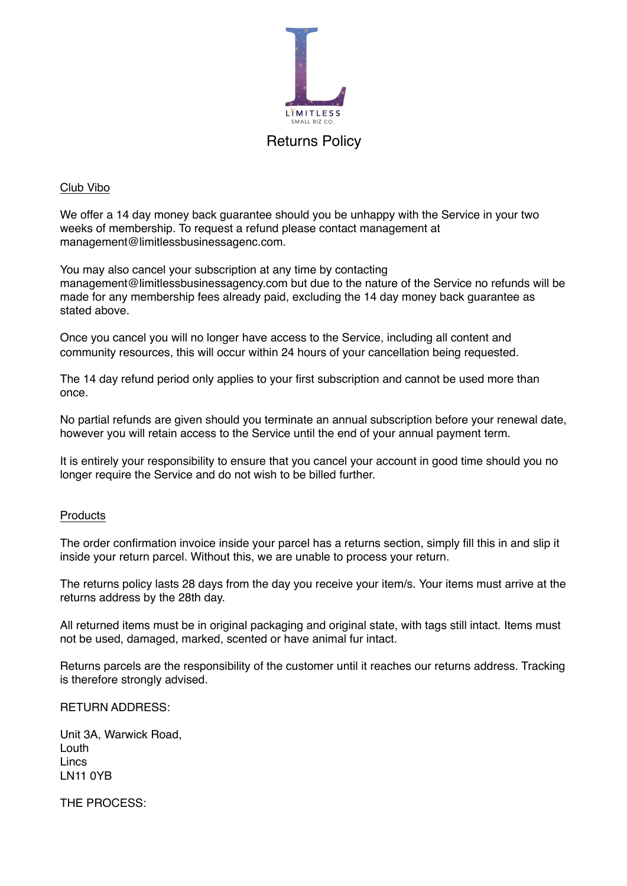

## Club Vibo

We offer a 14 day money back guarantee should you be unhappy with the Service in your two weeks of membership. To request a refund please contact management at management@limitlessbusinessagenc.com.

You may also cancel your subscription at any time by contacting management@limitlessbusinessagency.com but due to the nature of the Service no refunds will be made for any membership fees already paid, excluding the 14 day money back guarantee as stated above.

Once you cancel you will no longer have access to the Service, including all content and community resources, this will occur within 24 hours of your cancellation being requested.

The 14 day refund period only applies to your first subscription and cannot be used more than once.

No partial refunds are given should you terminate an annual subscription before your renewal date, however you will retain access to the Service until the end of your annual payment term.

It is entirely your responsibility to ensure that you cancel your account in good time should you no longer require the Service and do not wish to be billed further.

## **Products**

The order confirmation invoice inside your parcel has a returns section, simply fill this in and slip it inside your return parcel. Without this, we are unable to process your return.

The returns policy lasts 28 days from the day you receive your item/s. Your items must arrive at the returns address by the 28th day.

All returned items must be in original packaging and original state, with tags still intact. Items must not be used, damaged, marked, scented or have animal fur intact.

Returns parcels are the responsibility of the customer until it reaches our returns address. Tracking is therefore strongly advised.

## RETURN ADDRESS:

Unit 3A, Warwick Road, Louth Lincs LN11 0YB

THE PROCESS: